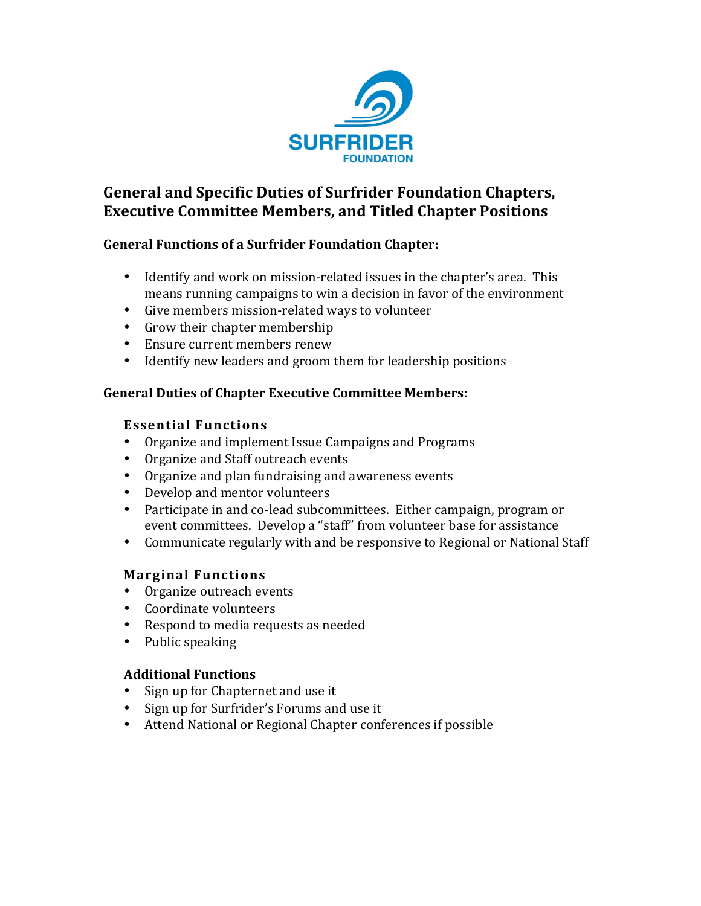

## **General and Specific Duties of Surfrider Foundation Chapters, Executive Committee Members, and Titled Chapter Positions**

### **General Functions of a Surfrider Foundation Chapter:**

- Identify and work on mission-related issues in the chapter's area. This means running campaigns to win a decision in favor of the environment
- Give members mission-related ways to volunteer
- Grow their chapter membership
- Ensure current members renew
- Identify new leaders and groom them for leadership positions

#### **General Duties of Chapter Executive Committee Members:**

#### **Essential!Functions**

- Organize and implement Issue Campaigns and Programs
- Organize and Staff outreach events
- Organize and plan fundraising and awareness events
- Develop and mentor volunteers
- Participate in and co-lead subcommittees. Either campaign, program or event committees. Develop a "staff" from volunteer base for assistance
- Communicate regularly with and be responsive to Regional or National Staff

### **Marginal!Functions**

- Organize outreach events
- Coordinate volunteers
- Respond to media requests as needed
- Public speaking

#### **Additional!Functions**

- Sign up for Chapternet and use it
- Sign up for Surfrider's Forums and use it
- Attend National or Regional Chapter conferences if possible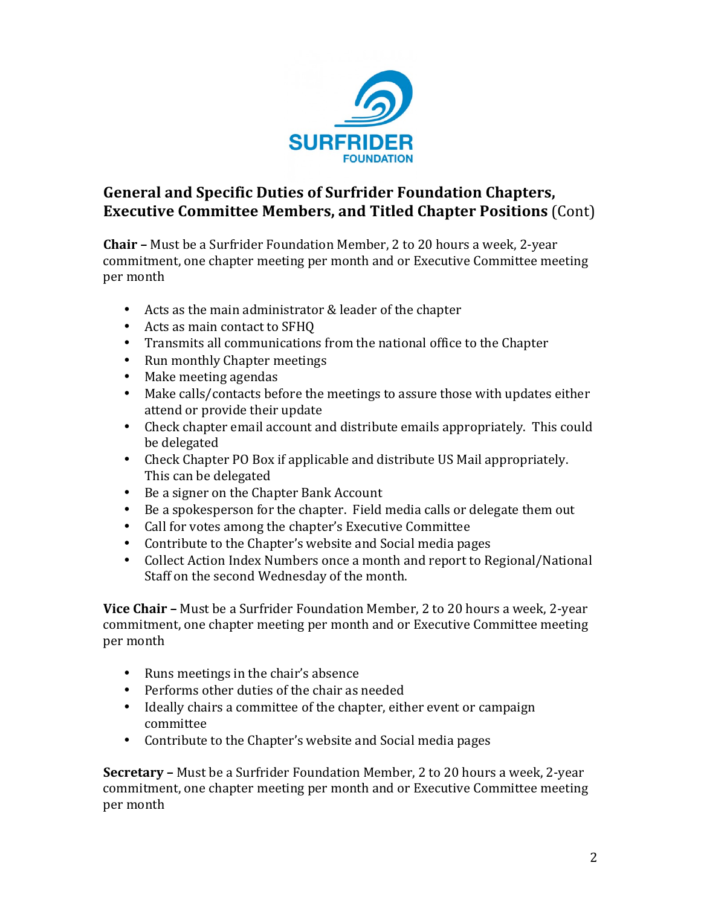

# **General and Specific Duties of Surfrider Foundation Chapters, Executive Committee Members, and Titled Chapter Positions (Cont)**

**Chair –** Must be a Surfrider Foundation Member, 2 to 20 hours a week, 2-year commitment, one chapter meeting per month and or Executive Committee meeting per month

- Acts as the main administrator  $&$  leader of the chapter
- Acts as main contact to SFHQ
- Transmits all communications from the national office to the Chapter
- Run monthly Chapter meetings
- Make meeting agendas
- Make calls/contacts before the meetings to assure those with updates either attend or provide their update
- Check chapter email account and distribute emails appropriately. This could be delegated
- Check Chapter PO Box if applicable and distribute US Mail appropriately. This can be delegated
- $\bullet$  Be a signer on the Chapter Bank Account
- Be a spokesperson for the chapter. Field media calls or delegate them out
- Call for votes among the chapter's Executive Committee
- Contribute to the Chapter's website and Social media pages
- Collect Action Index Numbers once a month and report to Regional/National Staff on the second Wednesday of the month.

**Vice Chair –** Must be a Surfrider Foundation Member, 2 to 20 hours a week, 2-year commitment, one chapter meeting per month and or Executive Committee meeting per month

- Runs meetings in the chair's absence
- Performs other duties of the chair as needed
- Ideally chairs a committee of the chapter, either event or campaign committee
- Contribute to the Chapter's website and Social media pages

**Secretary –** Must be a Surfrider Foundation Member, 2 to 20 hours a week, 2-year commitment, one chapter meeting per month and or Executive Committee meeting per month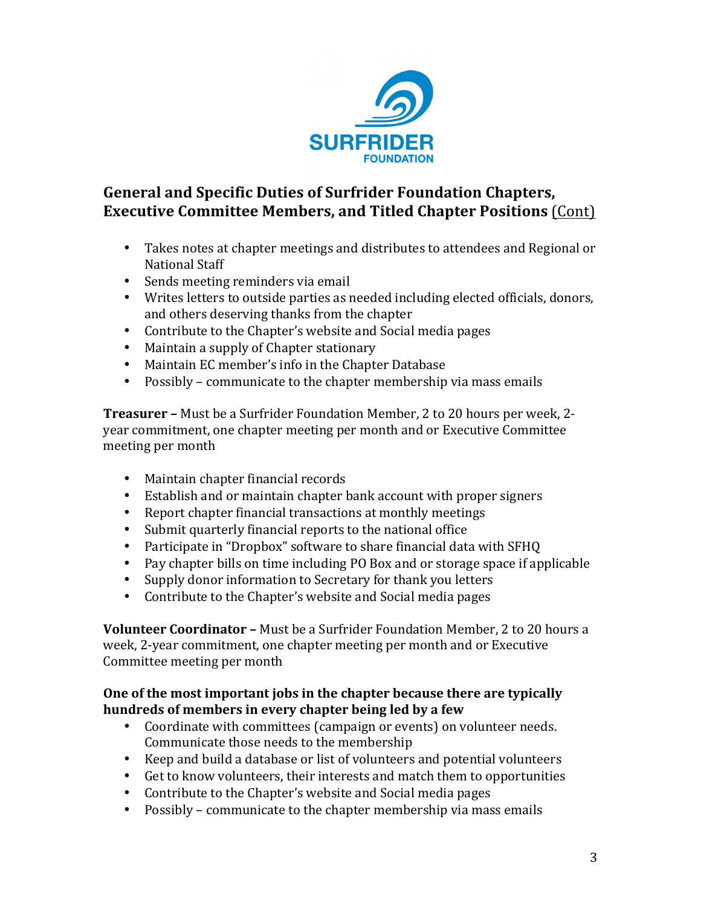

## **General and Specific Duties of Surfrider Foundation Chapters, Executive Committee Members, and Titled Chapter Positions** (Cont)

- Takes notes at chapter meetings and distributes to attendees and Regional or National Staff
- Sends meeting reminders via email
- Writes letters to outside parties as needed including elected officials, donors, and others deserving thanks from the chapter
- Contribute to the Chapter's website and Social media pages
- Maintain a supply of Chapter stationary
- Maintain EC member's info in the Chapter Database
- Possibly communicate to the chapter membership via mass emails

**Treasurer** – Must be a Surfrider Foundation Member, 2 to 20 hours per week, 2year commitment, one chapter meeting per month and or Executive Committee meeting per month

- Maintain chapter financial records
- Establish and or maintain chapter bank account with proper signers
- Report chapter financial transactions at monthly meetings
- Submit quarterly financial reports to the national office
- Participate in "Dropbox" software to share financial data with SFHQ
- Pay chapter bills on time including PO Box and or storage space if applicable
- Supply donor information to Secretary for thank you letters
- Contribute to the Chapter's website and Social media pages

**Volunteer Coordinator –** Must be a Surfrider Foundation Member, 2 to 20 hours a week, 2-year commitment, one chapter meeting per month and or Executive Committee meeting per month

#### **One of the most important jobs in the chapter because there are typically** hundreds of members in every chapter being led by a few

- Coordinate with committees (campaign or events) on volunteer needs. Communicate those needs to the membership
- Keep and build a database or list of volunteers and potential volunteers
- Get to know volunteers, their interests and match them to opportunities
- Contribute to the Chapter's website and Social media pages
- Possibly communicate to the chapter membership via mass emails